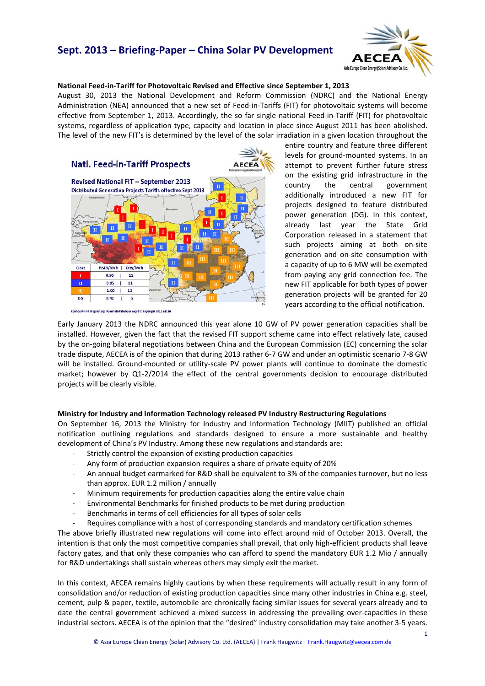# **Sept. 2013 – Briefing‐Paper – China Solar PV Development**



#### **National Feed‐in‐Tariff for Photovoltaic Revised and Effective since September 1, 2013**

August 30, 2013 the National Development and Reform Commission (NDRC) and the National Energy Administration (NEA) announced that a new set of Feed‐in‐Tariffs (FIT) for photovoltaic systems will become effective from September 1, 2013. Accordingly, the so far single national Feed-in-Tariff (FIT) for photovoltaic systems, regardless of application type, capacity and location in place since August 2011 has been abolished. The level of the new FIT's is determined by the level of the solar irradiation in a given location throughout the



tary: Do not distribute or copy! © Copyright 2012 AECEA

entire country and feature three different levels for ground‐mounted systems. In an attempt to prevent further future stress on the existing grid infrastructure in the country the central government additionally introduced a new FIT for projects designed to feature distributed power generation (DG). In this context, already last year the State Grid Corporation released in a statement that such projects aiming at both on-site generation and on‐site consumption with a capacity of up to 6 MW will be exempted from paying any grid connection fee. The new FIT applicable for both types of power generation projects will be granted for 20 years according to the official notification.

Early January 2013 the NDRC announced this year alone 10 GW of PV power generation capacities shall be installed. However, given the fact that the revised FIT support scheme came into effect relatively late, caused by the on‐going bilateral negotiations between China and the European Commission (EC) concerning the solar trade dispute, AECEA is of the opinion that during 2013 rather 6‐7 GW and under an optimistic scenario 7‐8 GW will be installed. Ground-mounted or utility-scale PV power plants will continue to dominate the domestic market; however by Q1-2/2014 the effect of the central governments decision to encourage distributed projects will be clearly visible.

#### **Ministry for Industry and Information Technology released PV Industry Restructuring Regulations**

On September 16, 2013 the Ministry for Industry and Information Technology (MIIT) published an official notification outlining regulations and standards designed to ensure a more sustainable and healthy development of China's PV Industry. Among these new regulations and standards are:

- Strictly control the expansion of existing production capacities
- ‐ Any form of production expansion requires a share of private equity of 20%
- ‐ An annual budget earmarked for R&D shall be equivalent to 3% of the companies turnover, but no less than approx. EUR 1.2 million / annually
- ‐ Minimum requirements for production capacities along the entire value chain
- ‐ Environmental Benchmarks for finished products to be met during production
- ‐ Benchmarks in terms of cell efficiencies for all types of solar cells
- ‐ Requires compliance with a host of corresponding standards and mandatory certification schemes

The above briefly illustrated new regulations will come into effect around mid of October 2013. Overall, the intention is that only the most competitive companies shall prevail, that only high-efficient products shall leave factory gates, and that only these companies who can afford to spend the mandatory EUR 1.2 Mio / annually for R&D undertakings shall sustain whereas others may simply exit the market.

In this context, AECEA remains highly cautions by when these requirements will actually result in any form of consolidation and/or reduction of existing production capacities since many other industries in China e.g. steel, cement, pulp & paper, textile, automobile are chronically facing similar issues for several years already and to date the central government achieved a mixed success in addressing the prevailing over‐capacities in these industrial sectors. AECEA is of the opinion that the "desired" industry consolidation may take another 3‐5 years.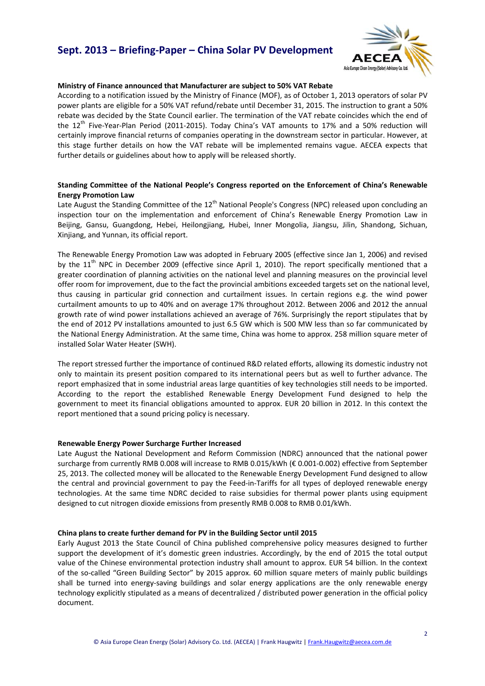## **Sept. 2013 – Briefing‐Paper – China Solar PV Development**



#### **Ministry of Finance announced that Manufacturer are subject to 50% VAT Rebate**

According to a notification issued by the Ministry of Finance (MOF), as of October 1, 2013 operators of solar PV power plants are eligible for a 50% VAT refund/rebate until December 31, 2015. The instruction to grant a 50% rebate was decided by the State Council earlier. The termination of the VAT rebate coincides which the end of the 12<sup>th</sup> Five-Year-Plan Period (2011-2015). Today China's VAT amounts to 17% and a 50% reduction will certainly improve financial returns of companies operating in the downstream sector in particular. However, at this stage further details on how the VAT rebate will be implemented remains vague. AECEA expects that further details or guidelines about how to apply will be released shortly.

### **Standing Committee of the National People's Congress reported on the Enforcement of China's Renewable Energy Promotion Law**

Late August the Standing Committee of the 12<sup>th</sup> National People's Congress (NPC) released upon concluding an inspection tour on the implementation and enforcement of China's Renewable Energy Promotion Law in Beijing, Gansu, Guangdong, Hebei, Heilongjiang, Hubei, Inner Mongolia, Jiangsu, Jilin, Shandong, Sichuan, Xinjiang, and Yunnan, its official report.

The Renewable Energy Promotion Law was adopted in February 2005 (effective since Jan 1, 2006) and revised by the 11<sup>th</sup> NPC in December 2009 (effective since April 1, 2010). The report specifically mentioned that a greater coordination of planning activities on the national level and planning measures on the provincial level offer room for improvement, due to the fact the provincial ambitions exceeded targets set on the national level, thus causing in particular grid connection and curtailment issues. In certain regions e.g. the wind power curtailment amounts to up to 40% and on average 17% throughout 2012. Between 2006 and 2012 the annual growth rate of wind power installations achieved an average of 76%. Surprisingly the report stipulates that by the end of 2012 PV installations amounted to just 6.5 GW which is 500 MW less than so far communicated by the National Energy Administration. At the same time, China was home to approx. 258 million square meter of installed Solar Water Heater (SWH).

The report stressed further the importance of continued R&D related efforts, allowing its domestic industry not only to maintain its present position compared to its international peers but as well to further advance. The report emphasized that in some industrial areas large quantities of key technologies still needs to be imported. According to the report the established Renewable Energy Development Fund designed to help the government to meet its financial obligations amounted to approx. EUR 20 billion in 2012. In this context the report mentioned that a sound pricing policy is necessary.

### **Renewable Energy Power Surcharge Further Increased**

Late August the National Development and Reform Commission (NDRC) announced that the national power surcharge from currently RMB 0.008 will increase to RMB 0.015/kWh (€ 0.001-0.002) effective from September 25, 2013. The collected money will be allocated to the Renewable Energy Development Fund designed to allow the central and provincial government to pay the Feed-in-Tariffs for all types of deployed renewable energy technologies. At the same time NDRC decided to raise subsidies for thermal power plants using equipment designed to cut nitrogen dioxide emissions from presently RMB 0.008 to RMB 0.01/kWh.

### **China plans to create further demand for PV in the Building Sector until 2015**

Early August 2013 the State Council of China published comprehensive policy measures designed to further support the development of it's domestic green industries. Accordingly, by the end of 2015 the total output value of the Chinese environmental protection industry shall amount to approx. EUR 54 billion. In the context of the so‐called "Green Building Sector" by 2015 approx. 60 million square meters of mainly public buildings shall be turned into energy-saving buildings and solar energy applications are the only renewable energy technology explicitly stipulated as a means of decentralized / distributed power generation in the official policy document.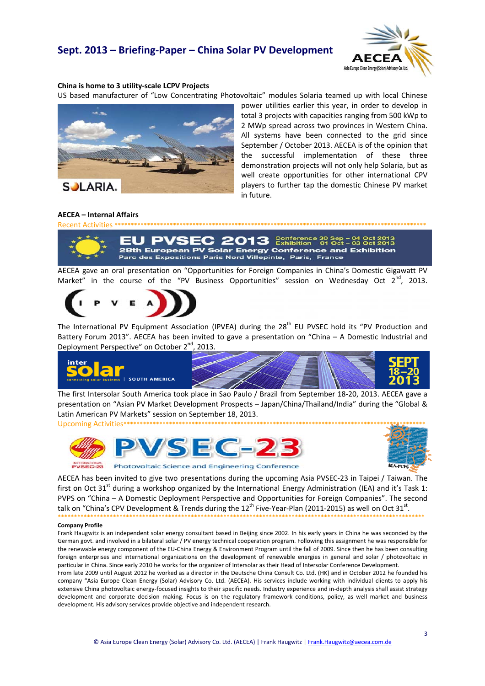## Sept. 2013 - Briefing-Paper - China Solar PV Development



#### China is home to 3 utility-scale LCPV Projects

US based manufacturer of "Low Concentrating Photovoltaic" modules Solaria teamed up with local Chinese



power utilities earlier this year, in order to develop in total 3 projects with capacities ranging from 500 kWp to 2 MWp spread across two provinces in Western China. All systems have been connected to the grid since September / October 2013. AECEA is of the opinion that the successful implementation of these three demonstration projects will not only help Solaria, but as well create opportunities for other international CPV players to further tap the domestic Chinese PV market in future.

#### **AECEA - Internal Affairs**



 $2013$  Conference 30 Sep - 04 Oct 2013 28th European PV Solar Energy Conference and Exhibition Parc des Expositions Paris Nord Villepinte, Paris, France

AECEA gave an oral presentation on "Opportunities for Foreign Companies in China's Domestic Gigawatt PV Market" in the course of the "PV Business Opportunities" session on Wednesday Oct 2<sup>nd</sup>, 2013.



The International PV Equipment Association (IPVEA) during the 28<sup>th</sup> EU PVSEC hold its "PV Production and Battery Forum 2013". AECEA has been invited to gave a presentation on "China - A Domestic Industrial and Deployment Perspective" on October 2<sup>nd</sup>, , 2013.



The first Intersolar South America took place in Sao Paulo / Brazil from September 18-20, 2013. AECEA gave a presentation on "Asian PV Market Development Prospects - Japan/China/Thailand/India" during the "Global & Latin American PV Markets" session on September 18, 2013. **Upcoming Activities\*\*\*\*\*\*\*\*\*\*** 





AECEA has been invited to give two presentations during the upcoming Asia PVSEC-23 in Taipei / Taiwan. The first on Oct 31<sup>st</sup> during a workshop organized by the International Energy Administration (IEA) and it's Task 1: PVPS on "China - A Domestic Deployment Perspective and Opportunities for Foreign Companies". The second talk on "China's CPV Development & Trends during the 12<sup>th</sup> Five-Year-Plan (2011-2015) as well on Oct 31<sup>st</sup>.

#### **Company Profile**

Frank Haugwitz is an independent solar energy consultant based in Beijing since 2002. In his early years in China he was seconded by the German govt. and involved in a bilateral solar / PV energy technical cooperation program. Following this assignment he was responsible for the renewable energy component of the EU-China Energy & Environment Program until the fall of 2009. Since then he has been consulting foreign enterprises and international organizations on the development of renewable energies in general and solar / photovoltaic in particular in China. Since early 2010 he works for the organizer of Intersolar as their Head of Intersolar Conference Development.

From late 2009 until August 2012 he worked as a director in the Deutsche China Consult Co. Ltd. (HK) and in October 2012 he founded his company "Asia Europe Clean Energy (Solar) Advisory Co. Ltd. (AECEA). His services include working with individual clients to apply his extensive China photovoltaic energy-focused insights to their specific needs. Industry experience and in-depth analysis shall assist strategy development and corporate decision making. Focus is on the regulatory framework conditions, policy, as well market and business development. His advisory services provide objective and independent research.